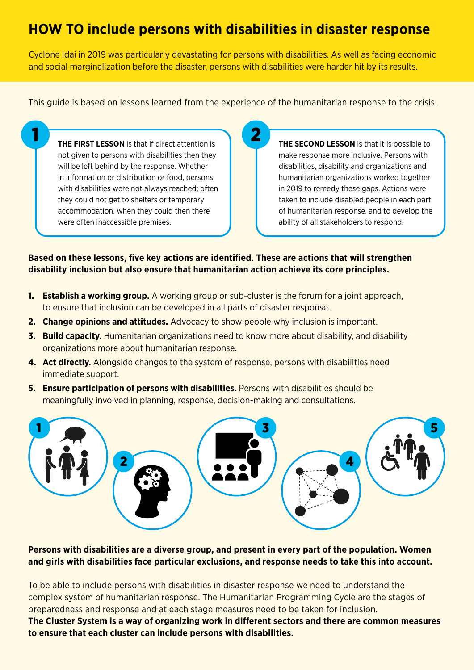# **HOW TO include persons with disabilities in disaster response**

Cyclone Idai in 2019 was particularly devastating for persons with disabilities. As well as facing economic and social marginalization before the disaster, persons with disabilities were harder hit by its results.

This guide is based on lessons learned from the experience of the humanitarian response to the crisis.

**THE FIRST LESSON** is that if direct attention is not given to persons with disabilities then they will be left behind by the response. Whether in information or distribution or food, persons with disabilities were not always reached; often they could not get to shelters or temporary accommodation, when they could then there were often inaccessible premises.

**THE SECOND LESSON** is that it is possible to make response more inclusive. Persons with disabilities, disability and organizations and humanitarian organizations worked together in 2019 to remedy these gaps. Actions were taken to include disabled people in each part of humanitarian response, and to develop the ability of all stakeholders to respond.

## **Based on these lessons, five key actions are identified. These are actions that will strengthen disability inclusion but also ensure that humanitarian action achieve its core principles.**

- **1. Establish a working group**. A working group or sub-cluster is the forum for a joint approach, to ensure that inclusion can be developed in all parts of disaster response.
- **2. Change opinions and attitudes.** Advocacy to show people why inclusion is important.
- **3. Build capacity.** Humanitarian organizations need to know more about disability, and disability organizations more about humanitarian response.
- **4. Act directly.** Alongside changes to the system of response, persons with disabilities need immediate support.
- **5. Ensure participation of persons with disabilities.** Persons with disabilities should be meaningfully involved in planning, response, decision-making and consultations.



## **Persons with disabilities are a diverse group, and present in every part of the population. Women and girls with disabilities face particular exclusions, and response needs to take this into account.**

To be able to include persons with disabilities in disaster response we need to understand the complex system of humanitarian response. The Humanitarian Programming Cycle are the stages of preparedness and response and at each stage measures need to be taken for inclusion. **The Cluster System is a way of organizing work in different sectors and there are common measures to ensure that each cluster can include persons with disabilities.**